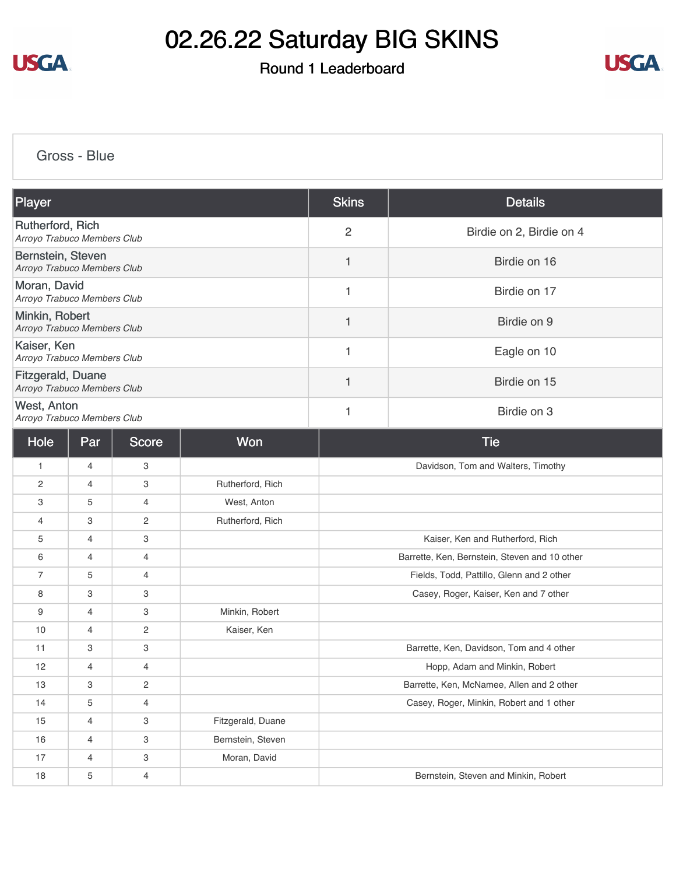

Round 1 Leaderboard



[Gross - Blue](https://cdn2.golfgenius.com/v2tournaments/8251411591250076105?called_from=&round_index=1)

| Player                                           |                |                |                   | <b>Skins</b>                              | <b>Details</b>                                |  |
|--------------------------------------------------|----------------|----------------|-------------------|-------------------------------------------|-----------------------------------------------|--|
| Rutherford, Rich<br>Arroyo Trabuco Members Club  |                |                |                   | $\overline{2}$                            | Birdie on 2, Birdie on 4                      |  |
| Bernstein, Steven<br>Arroyo Trabuco Members Club |                |                |                   | 1                                         | Birdie on 16                                  |  |
| Moran, David<br>Arroyo Trabuco Members Club      |                |                |                   | 1                                         | Birdie on 17                                  |  |
| Minkin, Robert<br>Arroyo Trabuco Members Club    |                |                |                   | 1                                         | Birdie on 9                                   |  |
| Kaiser, Ken<br>Arroyo Trabuco Members Club       |                |                |                   | 1                                         | Eagle on 10                                   |  |
| Fitzgerald, Duane<br>Arroyo Trabuco Members Club |                |                |                   | 1                                         | Birdie on 15                                  |  |
| West, Anton<br>Arroyo Trabuco Members Club       |                |                |                   | $\mathbf{1}$                              | Birdie on 3                                   |  |
| Hole                                             | Par            | <b>Score</b>   | <b>Won</b>        |                                           | <b>Tie</b>                                    |  |
| 1                                                | 4              | 3              |                   |                                           | Davidson, Tom and Walters, Timothy            |  |
| 2                                                | 4              | 3              | Rutherford, Rich  |                                           |                                               |  |
| 3                                                | 5              | 4              | West, Anton       |                                           |                                               |  |
| 4                                                | 3              | 2              | Rutherford, Rich  |                                           |                                               |  |
| 5                                                | 4              | 3              |                   |                                           | Kaiser, Ken and Rutherford, Rich              |  |
| 6                                                | $\overline{4}$ | 4              |                   |                                           | Barrette, Ken, Bernstein, Steven and 10 other |  |
| $\overline{7}$                                   | 5              | 4              |                   | Fields, Todd, Pattillo, Glenn and 2 other |                                               |  |
| 8                                                | 3              | 3              |                   | Casey, Roger, Kaiser, Ken and 7 other     |                                               |  |
| 9                                                | 4              | 3              | Minkin, Robert    |                                           |                                               |  |
| 10                                               | 4              | 2              | Kaiser, Ken       |                                           |                                               |  |
| 11                                               | 3              | 3              |                   | Barrette, Ken, Davidson, Tom and 4 other  |                                               |  |
| 12                                               | 4              | 4              |                   | Hopp, Adam and Minkin, Robert             |                                               |  |
| 13                                               | З              | 2              |                   | Barrette, Ken, McNamee, Allen and 2 other |                                               |  |
| 14                                               | 5              | 4              |                   | Casey, Roger, Minkin, Robert and 1 other  |                                               |  |
| 15                                               | $\overline{4}$ | З              | Fitzgerald, Duane |                                           |                                               |  |
| 16                                               | 4              | 3              | Bernstein, Steven |                                           |                                               |  |
| 17                                               | 4              | 3              | Moran, David      |                                           |                                               |  |
| 18                                               | 5              | $\overline{4}$ |                   | Bernstein, Steven and Minkin, Robert      |                                               |  |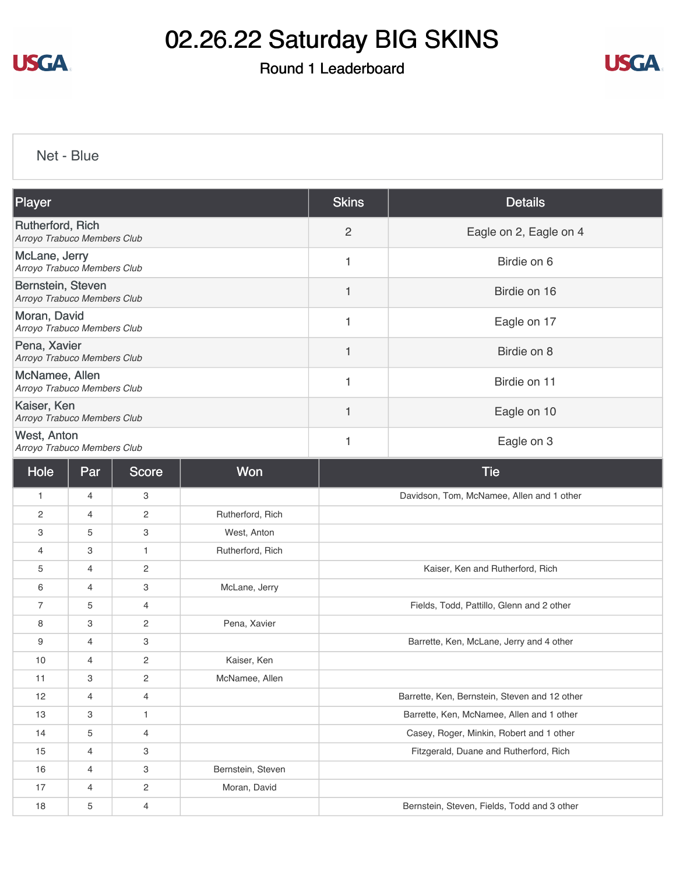

### Round 1 Leaderboard



[Net - Blue](https://cdn2.golfgenius.com/v2tournaments/8251412472624341450?called_from=&round_index=1)

| Player                                           | <b>Skins</b>             | <b>Details</b>         |
|--------------------------------------------------|--------------------------|------------------------|
| Rutherford, Rich<br>Arroyo Trabuco Members Club  | $\overline{2}$           | Eagle on 2, Eagle on 4 |
| McLane, Jerry<br>Arroyo Trabuco Members Club     | 1                        | Birdie on 6            |
| Bernstein, Steven<br>Arroyo Trabuco Members Club |                          | Birdie on 16           |
| Moran, David<br>Arroyo Trabuco Members Club      | 1                        | Eagle on 17            |
| Pena, Xavier<br>Arroyo Trabuco Members Club      | 1                        | Birdie on 8            |
| McNamee, Allen<br>Arroyo Trabuco Members Club    |                          | Birdie on 11           |
| Kaiser, Ken<br>Arroyo Trabuco Members Club       | $\overline{\phantom{a}}$ | Eagle on 10            |
| West, Anton<br>Arroyo Trabuco Members Club       |                          | Eagle on 3             |

| Hole           | Par            | Score                     | Won               | <b>Tie</b>                                    |
|----------------|----------------|---------------------------|-------------------|-----------------------------------------------|
| $\mathbf{1}$   | 4              | 3                         |                   | Davidson, Tom, McNamee, Allen and 1 other     |
| 2              | 4              | 2                         | Rutherford, Rich  |                                               |
| 3              | 5              | 3                         | West, Anton       |                                               |
| 4              | 3              | $\mathbf{1}$              | Rutherford, Rich  |                                               |
| 5              | 4              | 2                         |                   | Kaiser, Ken and Rutherford, Rich              |
| 6              | 4              | 3                         | McLane, Jerry     |                                               |
| $\overline{7}$ | 5              | 4                         |                   | Fields, Todd, Pattillo, Glenn and 2 other     |
| 8              | 3              | 2                         | Pena, Xavier      |                                               |
| 9              | 4              | 3                         |                   | Barrette, Ken, McLane, Jerry and 4 other      |
| 10             | 4              | 2                         | Kaiser, Ken       |                                               |
| 11             | 3              | 2                         | McNamee, Allen    |                                               |
| 12             | 4              | 4                         |                   | Barrette, Ken, Bernstein, Steven and 12 other |
| 13             | 3              | 1                         |                   | Barrette, Ken, McNamee, Allen and 1 other     |
| 14             | 5              | 4                         |                   | Casey, Roger, Minkin, Robert and 1 other      |
| 15             | $\overline{4}$ | 3                         |                   | Fitzgerald, Duane and Rutherford, Rich        |
| 16             | 4              | $\ensuremath{\mathsf{3}}$ | Bernstein, Steven |                                               |
| 17             | 4              | $\mathbf{2}^{\prime}$     | Moran, David      |                                               |
| 18             | 5              | 4                         |                   | Bernstein, Steven, Fields, Todd and 3 other   |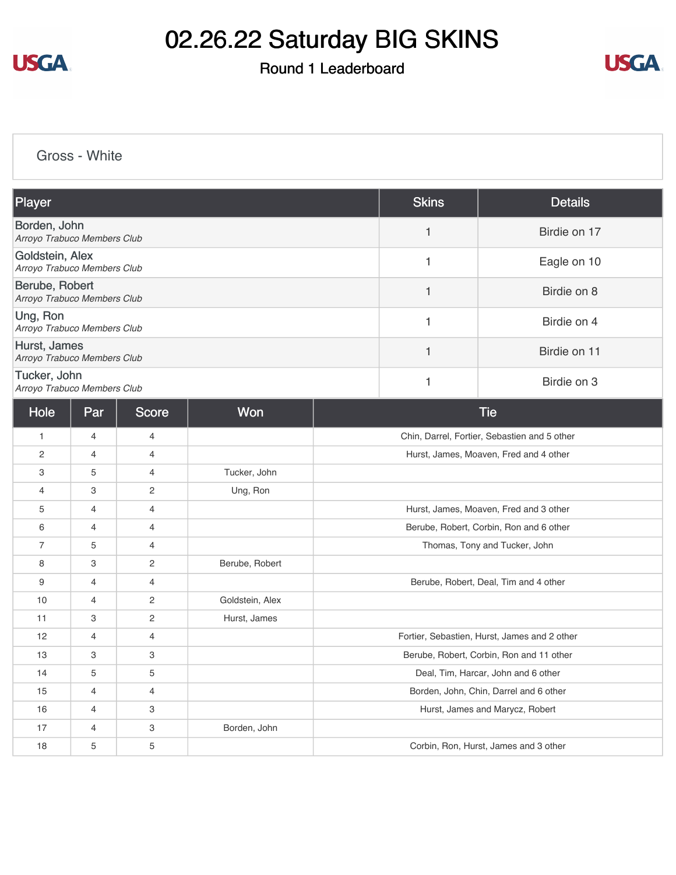

#### Round 1 Leaderboard



[Gross - White](https://cdn2.golfgenius.com/v2tournaments/8251413358964662731?called_from=&round_index=1)

| Player                                         | <b>Skins</b> | <b>Details</b> |
|------------------------------------------------|--------------|----------------|
| Borden, John<br>Arroyo Trabuco Members Club    |              | Birdie on 17   |
| Goldstein, Alex<br>Arroyo Trabuco Members Club |              | Eagle on 10    |
| Berube, Robert<br>Arroyo Trabuco Members Club  |              | Birdie on 8    |
| Ung, Ron<br>Arroyo Trabuco Members Club        |              | Birdie on 4    |
| Hurst, James<br>Arroyo Trabuco Members Club    |              | Birdie on 11   |
| Tucker, John<br>Arroyo Trabuco Members Club    |              | Birdie on 3    |

| Hole           | Par            | Score                 | <b>Won</b>      | <b>Tie</b>                                   |
|----------------|----------------|-----------------------|-----------------|----------------------------------------------|
| $\mathbf{1}$   | $\overline{4}$ | 4                     |                 | Chin, Darrel, Fortier, Sebastien and 5 other |
| 2              | 4              | 4                     |                 | Hurst, James, Moaven, Fred and 4 other       |
| 3              | 5              | 4                     | Tucker, John    |                                              |
| $\overline{4}$ | 3              | 2                     | Ung, Ron        |                                              |
| 5              | $\overline{4}$ | $\overline{4}$        |                 | Hurst, James, Moaven, Fred and 3 other       |
| 6              | $\overline{4}$ | 4                     |                 | Berube, Robert, Corbin, Ron and 6 other      |
| $\overline{7}$ | 5              | 4                     |                 | Thomas, Tony and Tucker, John                |
| 8              | 3              | 2                     | Berube, Robert  |                                              |
| 9              | $\overline{4}$ | 4                     |                 | Berube, Robert, Deal, Tim and 4 other        |
| 10             | $\overline{4}$ | 2                     | Goldstein, Alex |                                              |
| 11             | 3              | $\mathbf{2}^{\prime}$ | Hurst, James    |                                              |
| 12             | 4              | 4                     |                 | Fortier, Sebastien, Hurst, James and 2 other |
| 13             | 3              | 3                     |                 | Berube, Robert, Corbin, Ron and 11 other     |
| 14             | 5              | 5                     |                 | Deal, Tim, Harcar, John and 6 other          |
| 15             | $\overline{4}$ | $\overline{4}$        |                 | Borden, John, Chin, Darrel and 6 other       |
| 16             | $\overline{4}$ | 3                     |                 | Hurst, James and Marycz, Robert              |
| 17             | 4              | 3                     | Borden, John    |                                              |
| 18             | 5              | 5                     |                 | Corbin, Ron, Hurst, James and 3 other        |